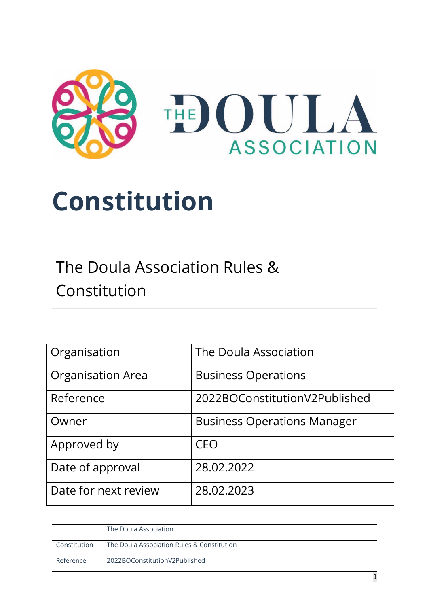

# **Constitution**

The Doula Association Rules & Constitution

| Organisation             | The Doula Association              |
|--------------------------|------------------------------------|
| <b>Organisation Area</b> | <b>Business Operations</b>         |
| Reference                | 2022BOConstitutionV2Published      |
| Owner                    | <b>Business Operations Manager</b> |
| Approved by              | <b>CEO</b>                         |
| Date of approval         | 28.02.2022                         |
| Date for next review     | 28.02.2023                         |

|              | The Doula Association                      |
|--------------|--------------------------------------------|
| Constitution | The Doula Association Rules & Constitution |
| Reference    | 2022BOConstitutionV2Published              |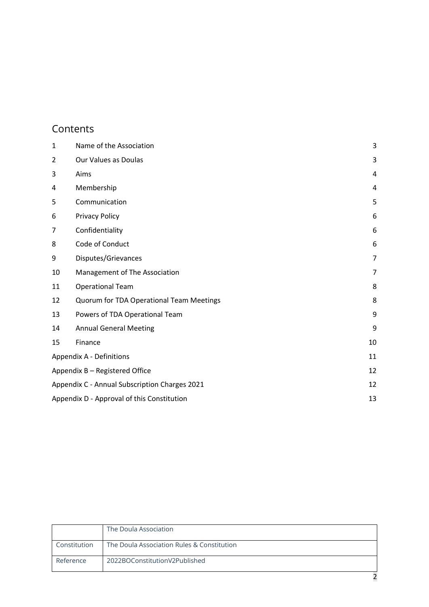## Contents

| $\mathbf{1}$   | Name of the Association                             | 3 |
|----------------|-----------------------------------------------------|---|
| $\overline{2}$ | Our Values as Doulas                                | 3 |
| 3              | Aims                                                | 4 |
| 4              | Membership                                          | 4 |
| 5              | Communication                                       | 5 |
| 6              | <b>Privacy Policy</b>                               | 6 |
| 7              | Confidentiality                                     | 6 |
| 8              | Code of Conduct                                     | 6 |
| 9              | Disputes/Grievances                                 | 7 |
| 10             | Management of The Association                       | 7 |
| 11             | <b>Operational Team</b>                             | 8 |
| 12             | Quorum for TDA Operational Team Meetings            | 8 |
| 13             | Powers of TDA Operational Team                      | 9 |
| 14             | 9<br><b>Annual General Meeting</b>                  |   |
| 15             | Finance<br>10                                       |   |
|                | Appendix A - Definitions<br>11                      |   |
|                | Appendix B - Registered Office<br>12                |   |
|                | Appendix C - Annual Subscription Charges 2021<br>12 |   |
|                | 13<br>Appendix D - Approval of this Constitution    |   |

|              | The Doula Association                      |
|--------------|--------------------------------------------|
| Constitution | The Doula Association Rules & Constitution |
| Reference    | 2022BOConstitutionV2Published              |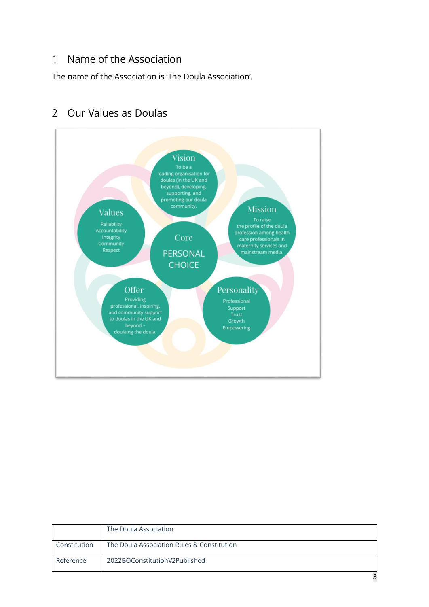#### <span id="page-2-0"></span>1 Name of the Association

The name of the Association is 'The Doula Association'.



## <span id="page-2-1"></span>2 Our Values as Doulas

|              | The Doula Association                      |
|--------------|--------------------------------------------|
| Constitution | The Doula Association Rules & Constitution |
| Reference    | 2022BOConstitutionV2Published              |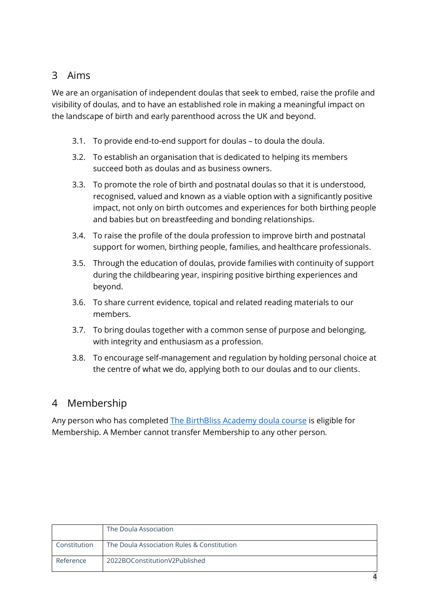## <span id="page-3-0"></span>3 Aims

We are an organisation of independent doulas that seek to embed, raise the profile and visibility of doulas, and to have an established role in making a meaningful impact on the landscape of birth and early parenthood across the UK and beyond.

- 3.1. To provide end-to-end support for doulas to doula the doula.
- 3.2. To establish an organisation that is dedicated to helping its members succeed both as doulas and as business owners.
- 3.3. To promote the role of birth and postnatal doulas so that it is understood, recognised, valued and known as a viable option with a significantly positive impact, not only on birth outcomes and experiences for both birthing people and babies but on breastfeeding and bonding relationships.
- 3.4. To raise the profile of the doula profession to improve birth and postnatal support for women, birthing people, families, and healthcare professionals.
- 3.5. Through the education of doulas, provide families with continuity of support during the childbearing year, inspiring positive birthing experiences and beyond.
- 3.6. To share current evidence, topical and related reading materials to our members.
- 3.7. To bring doulas together with a common sense of purpose and belonging, with integrity and enthusiasm as a profession.
- 3.8. To encourage self-management and regulation by holding personal choice at the centre of what we do, applying both to our doulas and to our clients.

## <span id="page-3-1"></span>4 Membership

Any person who has completed [The BirthBliss Academy doula course](https://www.birthblissdoulacourses.co.uk/doula-training-course-content.html) is eligible for Membership. A Member cannot transfer Membership to any other person.

|              | The Doula Association                      |
|--------------|--------------------------------------------|
| Constitution | The Doula Association Rules & Constitution |
| Reference    | 2022BOConstitutionV2Published              |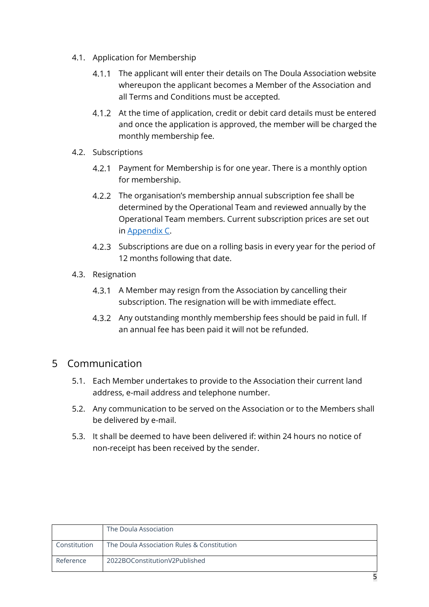- 4.1. Application for Membership
	- 4.1.1 The applicant will enter their details on The Doula Association website whereupon the applicant becomes a Member of the Association and all Terms and Conditions must be accepted.
	- At the time of application, credit or debit card details must be entered and once the application is approved, the member will be charged the monthly membership fee.
- 4.2. Subscriptions
	- 4.2.1 Payment for Membership is for one year. There is a monthly option for membership.
	- 4.2.2 The organisation's membership annual subscription fee shall be determined by the Operational Team and reviewed annually by the Operational Team members. Current subscription prices are set out in Appendix C.
	- 4.2.3 Subscriptions are due on a rolling basis in every year for the period of 12 months following that date.
- 4.3. Resignation
	- 4.3.1 A Member may resign from the Association by cancelling their subscription. The resignation will be with immediate effect.
	- Any outstanding monthly membership fees should be paid in full. If an annual fee has been paid it will not be refunded.

#### <span id="page-4-0"></span>5 Communication

- 5.1. Each Member undertakes to provide to the Association their current land address, e-mail address and telephone number.
- 5.2. Any communication to be served on the Association or to the Members shall be delivered by e-mail.
- 5.3. It shall be deemed to have been delivered if: within 24 hours no notice of non-receipt has been received by the sender.

|              | The Doula Association                      |
|--------------|--------------------------------------------|
| Constitution | The Doula Association Rules & Constitution |
| Reference    | 2022BOConstitutionV2Published              |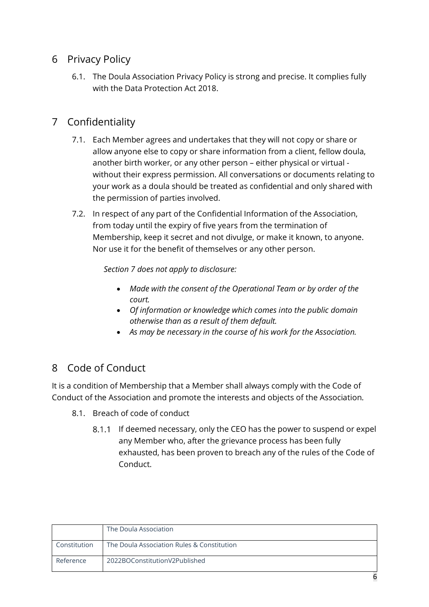## <span id="page-5-0"></span>6 Privacy Policy

6.1. [The Doula Association Privacy Policy](https://www.thedoulaassociation.org/privacy-policy.html) is strong and precise. It complies fully with the Data Protection Act 2018.

## <span id="page-5-1"></span>7 Confidentiality

- 7.1. Each Member agrees and undertakes that they will not copy or share or allow anyone else to copy or share information from a client, fellow doula, another birth worker, or any other person – either physical or virtual without their express permission. All conversations or documents relating to your work as a doula should be treated as confidential and only shared with the permission of parties involved.
- 7.2. In respect of any part of the Confidential Information of the Association, from today until the expiry of five years from the termination of Membership, keep it secret and not divulge, or make it known, to anyone. Nor use it for the benefit of themselves or any other person.

*Section 7 does not apply to disclosure:*

- *Made with the consent of the Operational Team or by order of the court.*
- *Of information or knowledge which comes into the public domain otherwise than as a result of them default.*
- *As may be necessary in the course of his work for the Association.*

## <span id="page-5-2"></span>8 Code of Conduct

It is a condition of Membership that a Member shall always comply with the Code of Conduct of the Association and promote the interests and objects of the Association.

- 8.1. Breach of code of conduct
	- 8.1.1 If deemed necessary, only the CEO has the power to suspend or expel any Member who, after the grievance process has been fully exhausted, has been proven to breach any of the rules of the Code of Conduct.

|              | The Doula Association                      |
|--------------|--------------------------------------------|
| Constitution | The Doula Association Rules & Constitution |
| Reference    | 2022BOConstitutionV2Published              |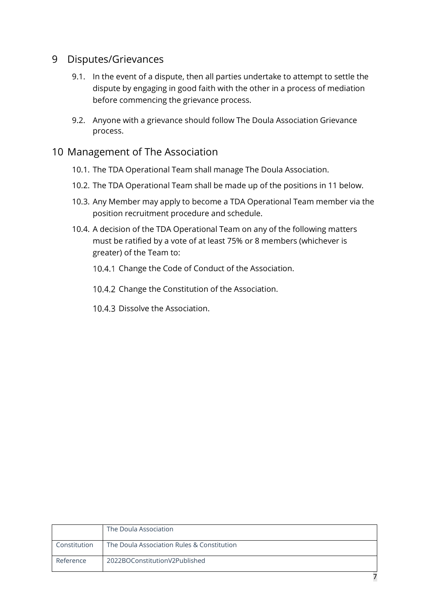#### <span id="page-6-0"></span>9 Disputes/Grievances

- 9.1. In the event of a dispute, then all parties undertake to attempt to settle the dispute by engaging in good faith with the other in a process of mediation before commencing the grievance process.
- 9.2. Anyone with a grievance should follow The Doula Association Grievance process.

#### <span id="page-6-1"></span>10 Management of The Association

- 10.1. The TDA Operational Team shall manage The Doula Association.
- 10.2. The TDA Operational Team shall be made up of the positions in 11 below.
- 10.3. Any Member may apply to become a TDA Operational Team member via the position recruitment procedure and schedule.
- 10.4. A decision of the TDA Operational Team on any of the following matters must be ratified by a vote of at least 75% or 8 members (whichever is greater) of the Team to:
	- 10.4.1 Change the Code of Conduct of the Association.
	- 10.4.2 Change the Constitution of the Association.
	- 10.4.3 Dissolve the Association.

|              | The Doula Association                      |
|--------------|--------------------------------------------|
| Constitution | The Doula Association Rules & Constitution |
| Reference    | 2022BOConstitutionV2Published              |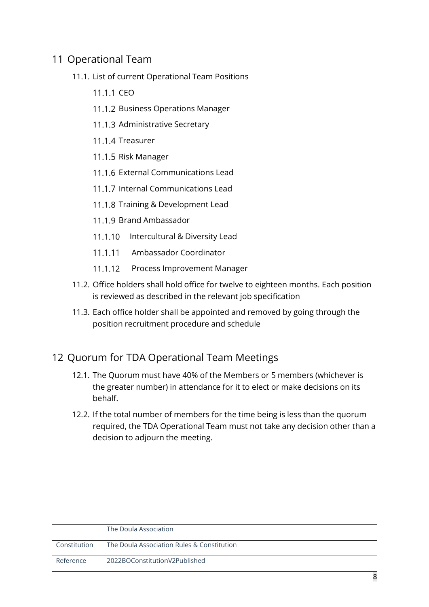## <span id="page-7-0"></span>11 Operational Team

- 11.1. List of current Operational Team Positions
	- 11.1.1 CFO
	- 11.1.2 Business Operations Manager
	- 11.1.3 Administrative Secretary
	- 11.1.4 Treasurer
	- 11.1.5 Risk Manager
	- 11.1.6 External Communications Lead
	- 11.1.7 Internal Communications Lead
	- 11.1.8 Training & Development Lead
	- 11.1.9 Brand Ambassador
	- 11.1.10 Intercultural & Diversity Lead
	- 11.1.11 Ambassador Coordinator
	- 11.1.12 Process Improvement Manager
- 11.2. Office holders shall hold office for twelve to eighteen months. Each position is reviewed as described in the relevant job specification
- 11.3. Each office holder shall be appointed and removed by going through the position recruitment procedure and schedule

## <span id="page-7-1"></span>12 Quorum for TDA Operational Team Meetings

- 12.1. The Quorum must have 40% of the Members or 5 members (whichever is the greater number) in attendance for it to elect or make decisions on its behalf.
- 12.2. If the total number of members for the time being is less than the quorum required, the TDA Operational Team must not take any decision other than a decision to adjourn the meeting.

|              | The Doula Association                      |
|--------------|--------------------------------------------|
| Constitution | The Doula Association Rules & Constitution |
| Reference    | 2022BOConstitutionV2Published              |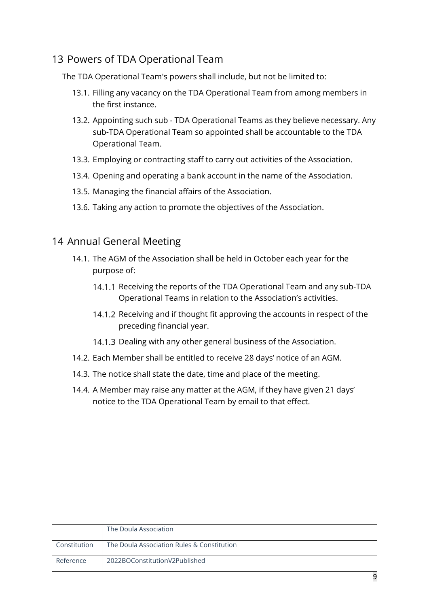## <span id="page-8-0"></span>13 Powers of TDA Operational Team

The TDA Operational Team's powers shall include, but not be limited to:

- 13.1. Filling any vacancy on the TDA Operational Team from among members in the first instance.
- 13.2. Appointing such sub TDA Operational Teams as they believe necessary. Any sub-TDA Operational Team so appointed shall be accountable to the TDA Operational Team.
- 13.3. Employing or contracting staff to carry out activities of the Association.
- 13.4. Opening and operating a bank account in the name of the Association.
- 13.5. Managing the financial affairs of the Association.
- 13.6. Taking any action to promote the objectives of the Association.

#### <span id="page-8-1"></span>14 Annual General Meeting

- 14.1. The AGM of the Association shall be held in October each year for the purpose of:
	- 14.1.1 Receiving the reports of the TDA Operational Team and any sub-TDA Operational Teams in relation to the Association's activities.
	- 14.1.2 Receiving and if thought fit approving the accounts in respect of the preceding financial year.
	- 14.1.3 Dealing with any other general business of the Association.
- 14.2. Each Member shall be entitled to receive 28 days' notice of an AGM.
- 14.3. The notice shall state the date, time and place of the meeting.
- 14.4. A Member may raise any matter at the AGM, if they have given 21 days' notice to the TDA Operational Team [by email](mailto:admin@thedoulaassociation.org) to that effect.

|              | The Doula Association                      |
|--------------|--------------------------------------------|
| Constitution | The Doula Association Rules & Constitution |
| Reference    | 2022BOConstitutionV2Published              |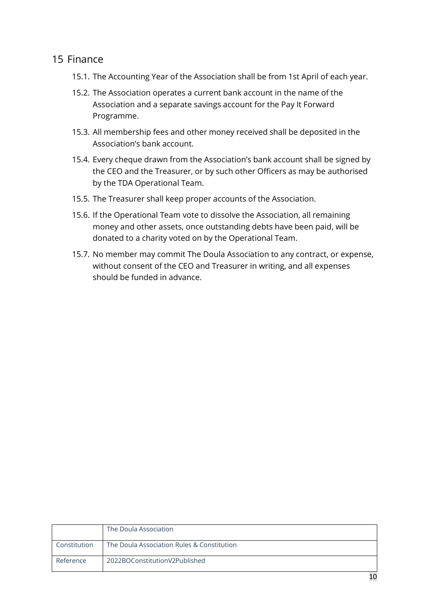#### <span id="page-9-0"></span>15 Finance

- 15.1. The Accounting Year of the Association shall be from 1st April of each year.
- 15.2. The Association operates a current bank account in the name of the Association and a separate savings account for the Pay It Forward Programme.
- 15.3. All membership fees and other money received shall be deposited in the Association's bank account.
- 15.4. Every cheque drawn from the Association's bank account shall be signed by the CEO and the Treasurer, or by such other Officers as may be authorised by the TDA Operational Team.
- 15.5. The Treasurer shall keep proper accounts of the Association.
- 15.6. If the Operational Team vote to dissolve the Association, all remaining money and other assets, once outstanding debts have been paid, will be donated to a charity voted on by the Operational Team.
- 15.7. No member may commit The Doula Association to any contract, or expense, without consent of the CEO and Treasurer in writing, and all expenses should be funded in advance.

|              | The Doula Association                      |
|--------------|--------------------------------------------|
| Constitution | The Doula Association Rules & Constitution |
| Reference    | 2022BOConstitutionV2Published              |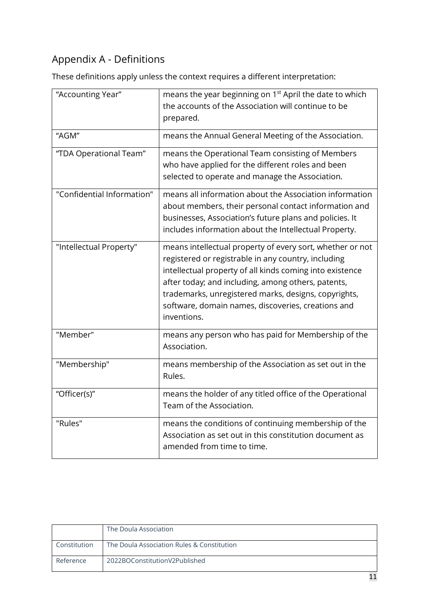# <span id="page-10-0"></span>Appendix A - Definitions

These definitions apply unless the context requires a different interpretation:

| "Accounting Year"          | means the year beginning on 1 <sup>st</sup> April the date to which<br>the accounts of the Association will continue to be<br>prepared.                                                                                                                                                                                                                         |  |  |
|----------------------------|-----------------------------------------------------------------------------------------------------------------------------------------------------------------------------------------------------------------------------------------------------------------------------------------------------------------------------------------------------------------|--|--|
| "AGM"                      | means the Annual General Meeting of the Association.                                                                                                                                                                                                                                                                                                            |  |  |
| "TDA Operational Team"     | means the Operational Team consisting of Members<br>who have applied for the different roles and been<br>selected to operate and manage the Association.                                                                                                                                                                                                        |  |  |
| "Confidential Information" | means all information about the Association information<br>about members, their personal contact information and<br>businesses, Association's future plans and policies. It<br>includes information about the Intellectual Property.                                                                                                                            |  |  |
| "Intellectual Property"    | means intellectual property of every sort, whether or not<br>registered or registrable in any country, including<br>intellectual property of all kinds coming into existence<br>after today; and including, among others, patents,<br>trademarks, unregistered marks, designs, copyrights,<br>software, domain names, discoveries, creations and<br>inventions. |  |  |
| "Member"                   | means any person who has paid for Membership of the<br>Association.                                                                                                                                                                                                                                                                                             |  |  |
| "Membership"               | means membership of the Association as set out in the<br>Rules.                                                                                                                                                                                                                                                                                                 |  |  |
| "Officer(s)"               | means the holder of any titled office of the Operational<br>Team of the Association.                                                                                                                                                                                                                                                                            |  |  |
| "Rules"                    | means the conditions of continuing membership of the<br>Association as set out in this constitution document as<br>amended from time to time.                                                                                                                                                                                                                   |  |  |

|              | The Doula Association                      |
|--------------|--------------------------------------------|
| Constitution | The Doula Association Rules & Constitution |
| Reference    | 2022BOConstitutionV2Published              |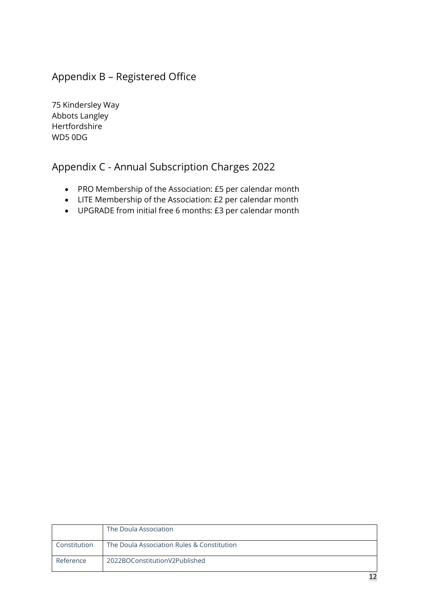## <span id="page-11-0"></span>Appendix B – Registered Office

75 Kindersley Way Abbots Langley Hertfordshire WD5 0DG

## <span id="page-11-1"></span>Appendix C - Annual Subscription Charges 2022

- PRO Membership of the Association: £5 per calendar month
- LITE Membership of the Association: £2 per calendar month
- UPGRADE from initial free 6 months: £3 per calendar month

|              | The Doula Association                      |
|--------------|--------------------------------------------|
| Constitution | The Doula Association Rules & Constitution |
| Reference    | 2022BOConstitutionV2Published              |